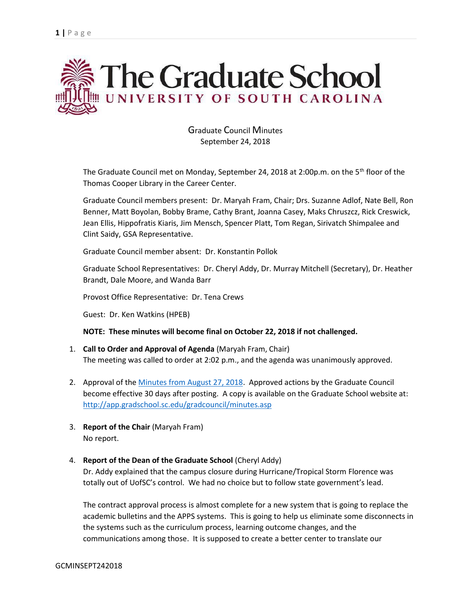

Graduate Council Minutes September 24, 2018

The Graduate Council met on Monday, September 24, 2018 at 2:00p.m. on the 5<sup>th</sup> floor of the Thomas Cooper Library in the Career Center.

Graduate Council members present: Dr. Maryah Fram, Chair; Drs. Suzanne Adlof, Nate Bell, Ron Benner, Matt Boyolan, Bobby Brame, Cathy Brant, Joanna Casey, Maks Chruszcz, Rick Creswick, Jean Ellis, Hippofratis Kiaris, Jim Mensch, Spencer Platt, Tom Regan, Sirivatch Shimpalee and Clint Saidy, GSA Representative.

Graduate Council member absent: Dr. Konstantin Pollok

Graduate School Representatives: Dr. Cheryl Addy, Dr. Murray Mitchell (Secretary), Dr. Heather Brandt, Dale Moore, and Wanda Barr

Provost Office Representative: Dr. Tena Crews

Guest: Dr. Ken Watkins (HPEB)

### **NOTE: These minutes will become final on October 22, 2018 if not challenged.**

- 1. **Call to Order and Approval of Agenda** (Maryah Fram, Chair) The meeting was called to order at 2:02 p.m., and the agenda was unanimously approved.
- 2. Approval of the [Minutes from August 27, 2018.](GC‌MINUTESAUG272018.pdf) Approved actions by the Graduate Council become effective 30 days after posting. A copy is available on the Graduate School website at: <http://app.gradschool.sc.edu/gradcouncil/minutes.asp>
- 3. **Report of the Chair** (Maryah Fram) No report.
- 4. **Report of the Dean of the Graduate School** (Cheryl Addy)

Dr. Addy explained that the campus closure during Hurricane/Tropical Storm Florence was totally out of UofSC's control. We had no choice but to follow state government's lead.

The contract approval process is almost complete for a new system that is going to replace the academic bulletins and the APPS systems. This is going to help us eliminate some disconnects in the systems such as the curriculum process, learning outcome changes, and the communications among those. It is supposed to create a better center to translate our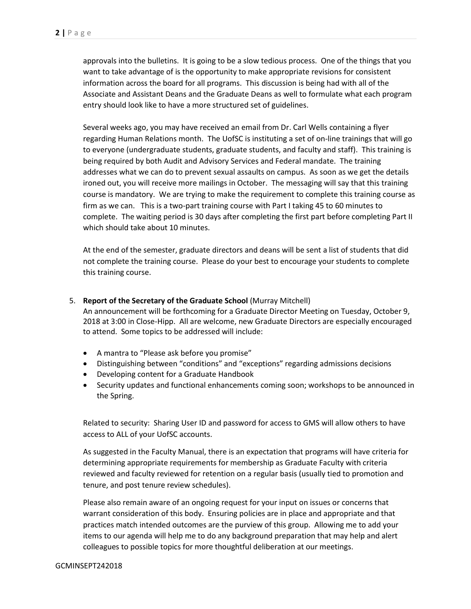approvals into the bulletins. It is going to be a slow tedious process. One of the things that you want to take advantage of is the opportunity to make appropriate revisions for consistent information across the board for all programs. This discussion is being had with all of the Associate and Assistant Deans and the Graduate Deans as well to formulate what each program entry should look like to have a more structured set of guidelines.

Several weeks ago, you may have received an email from Dr. Carl Wells containing a flyer regarding Human Relations month. The UofSC is instituting a set of on-line trainings that will go to everyone (undergraduate students, graduate students, and faculty and staff). This training is being required by both Audit and Advisory Services and Federal mandate. The training addresses what we can do to prevent sexual assaults on campus. As soon as we get the details ironed out, you will receive more mailings in October. The messaging will say that this training course is mandatory. We are trying to make the requirement to complete this training course as firm as we can. This is a two-part training course with Part I taking 45 to 60 minutes to complete. The waiting period is 30 days after completing the first part before completing Part II which should take about 10 minutes.

At the end of the semester, graduate directors and deans will be sent a list of students that did not complete the training course. Please do your best to encourage your students to complete this training course.

5. **Report of the Secretary of the Graduate School** (Murray Mitchell)

An announcement will be forthcoming for a Graduate Director Meeting on Tuesday, October 9, 2018 at 3:00 in Close-Hipp. All are welcome, new Graduate Directors are especially encouraged to attend. Some topics to be addressed will include:

- A mantra to "Please ask before you promise"
- Distinguishing between "conditions" and "exceptions" regarding admissions decisions
- Developing content for a Graduate Handbook
- Security updates and functional enhancements coming soon; workshops to be announced in the Spring.

Related to security: Sharing User ID and password for access to GMS will allow others to have access to ALL of your UofSC accounts.

As suggested in the Faculty Manual, there is an expectation that programs will have criteria for determining appropriate requirements for membership as Graduate Faculty with criteria reviewed and faculty reviewed for retention on a regular basis (usually tied to promotion and tenure, and post tenure review schedules).

Please also remain aware of an ongoing request for your input on issues or concerns that warrant consideration of this body. Ensuring policies are in place and appropriate and that practices match intended outcomes are the purview of this group. Allowing me to add your items to our agenda will help me to do any background preparation that may help and alert colleagues to possible topics for more thoughtful deliberation at our meetings.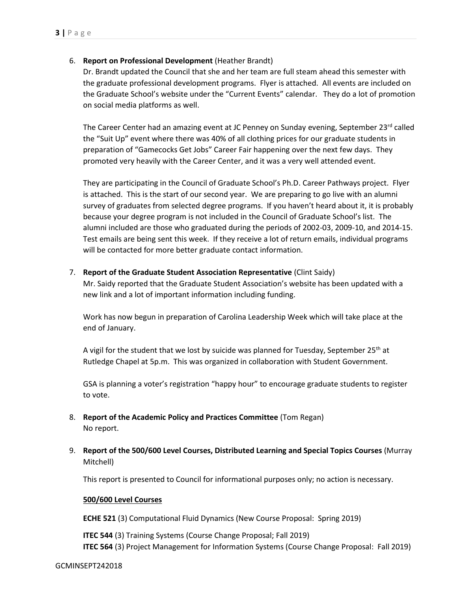# 6. **Report on Professional Development** (Heather Brandt)

Dr. Brandt updated the Council that she and her team are full steam ahead this semester with the graduate professional development programs. Flyer is attached. All events are included on the Graduate School's website under the "Current Events" calendar. They do a lot of promotion on social media platforms as well.

The Career Center had an amazing event at JC Penney on Sunday evening, September  $23<sup>rd</sup>$  called the "Suit Up" event where there was 40% of all clothing prices for our graduate students in preparation of "Gamecocks Get Jobs" Career Fair happening over the next few days. They promoted very heavily with the Career Center, and it was a very well attended event.

They are participating in the Council of Graduate School's Ph.D. Career Pathways project. Flyer is attached. This is the start of our second year. We are preparing to go live with an alumni survey of graduates from selected degree programs. If you haven't heard about it, it is probably because your degree program is not included in the Council of Graduate School's list. The alumni included are those who graduated during the periods of 2002-03, 2009-10, and 2014-15. Test emails are being sent this week. If they receive a lot of return emails, individual programs will be contacted for more better graduate contact information.

# 7. **Report of the Graduate Student Association Representative** (Clint Saidy)

Mr. Saidy reported that the Graduate Student Association's website has been updated with a new link and a lot of important information including funding.

Work has now begun in preparation of Carolina Leadership Week which will take place at the end of January.

A vigil for the student that we lost by suicide was planned for Tuesday, September 25<sup>th</sup> at Rutledge Chapel at 5p.m. This was organized in collaboration with Student Government.

GSA is planning a voter's registration "happy hour" to encourage graduate students to register to vote.

- 8. **Report of the Academic Policy and Practices Committee** (Tom Regan) No report.
- 9. **Report of the 500/600 Level Courses, Distributed Learning and Special Topics Courses** (Murray Mitchell)

This report is presented to Council for informational purposes only; no action is necessary.

### **500/600 Level Courses**

**ECHE 521** (3) Computational Fluid Dynamics (New Course Proposal: Spring 2019)

**ITEC 544** (3) Training Systems (Course Change Proposal; Fall 2019) **ITEC 564** (3) Project Management for Information Systems (Course Change Proposal: Fall 2019)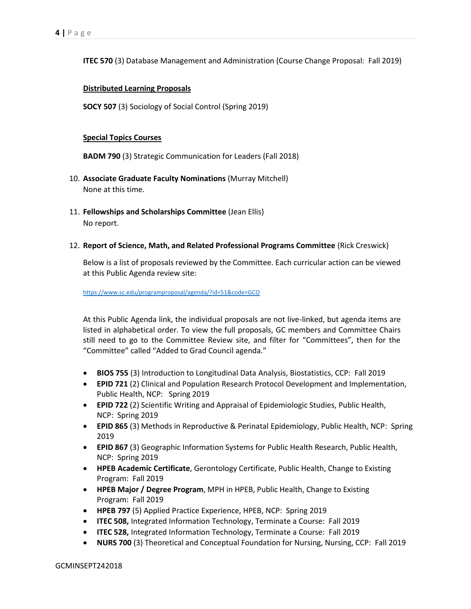**ITEC 570** (3) Database Management and Administration (Course Change Proposal: Fall 2019)

# **Distributed Learning Proposals**

**SOCY 507** (3) Sociology of Social Control (Spring 2019)

## **Special Topics Courses**

**BADM 790** (3) Strategic Communication for Leaders (Fall 2018)

- 10. **Associate Graduate Faculty Nominations** (Murray Mitchell) None at this time.
- 11. **Fellowships and Scholarships Committee** (Jean Ellis) No report.
- 12. **Report of Science, Math, and Related Professional Programs Committee** (Rick Creswick)

Below is a list of proposals reviewed by the Committee. Each curricular action can be viewed at this Public Agenda review site:

<https://www.sc.edu/programproposal/agenda/?id=51&code=GCO>

At this Public Agenda link, the individual proposals are not live-linked, but agenda items are listed in alphabetical order. To view the full proposals, GC members and Committee Chairs still need to go to the Committee Review site, and filter for "Committees", then for the "Committee" called "Added to Grad Council agenda."

- **BIOS 755** (3) Introduction to Longitudinal Data Analysis, Biostatistics, CCP: Fall 2019
- **EPID 721** (2) Clinical and Population Research Protocol Development and Implementation, Public Health, NCP: Spring 2019
- **EPID 722** (2) Scientific Writing and Appraisal of Epidemiologic Studies, Public Health, NCP: Spring 2019
- **EPID 865** (3) Methods in Reproductive & Perinatal Epidemiology, Public Health, NCP: Spring 2019
- **EPID 867** (3) Geographic Information Systems for Public Health Research, Public Health, NCP: Spring 2019
- **HPEB Academic Certificate**, Gerontology Certificate, Public Health, Change to Existing Program: Fall 2019
- **HPEB Major / Degree Program**, MPH in HPEB, Public Health, Change to Existing Program: Fall 2019
- **HPEB 797** (5) Applied Practice Experience, HPEB, NCP: Spring 2019
- **ITEC 508,** Integrated Information Technology, Terminate a Course: Fall 2019
- **ITEC 528,** Integrated Information Technology, Terminate a Course: Fall 2019
- **NURS 700** (3) Theoretical and Conceptual Foundation for Nursing, Nursing, CCP: Fall 2019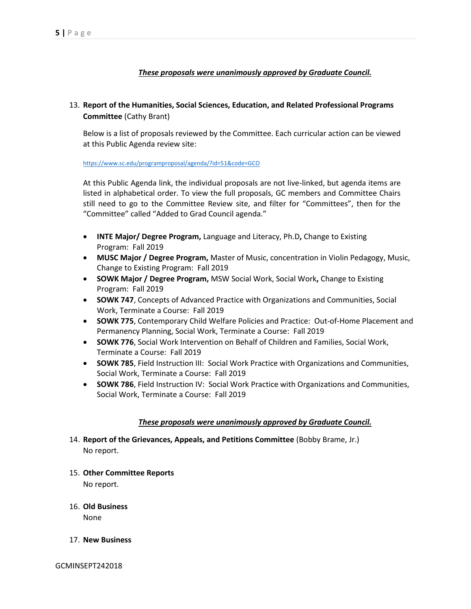# *These proposals were unanimously approved by Graduate Council.*

# 13. **Report of the Humanities, Social Sciences, Education, and Related Professional Programs Committee** (Cathy Brant)

Below is a list of proposals reviewed by the Committee. Each curricular action can be viewed at this Public Agenda review site:

<https://www.sc.edu/programproposal/agenda/?id=51&code=GCO>

At this Public Agenda link, the individual proposals are not live-linked, but agenda items are listed in alphabetical order. To view the full proposals, GC members and Committee Chairs still need to go to the Committee Review site, and filter for "Committees", then for the "Committee" called "Added to Grad Council agenda."

- **INTE Major/ Degree Program,** Language and Literacy, Ph.D**,** Change to Existing Program: Fall 2019
- **MUSC Major / Degree Program,** Master of Music, concentration in Violin Pedagogy, Music, Change to Existing Program: Fall 2019
- **SOWK Major / Degree Program,** MSW Social Work, Social Work**,** Change to Existing Program: Fall 2019
- **SOWK 747**, Concepts of Advanced Practice with Organizations and Communities, Social Work, Terminate a Course: Fall 2019
- **SOWK 775**, Contemporary Child Welfare Policies and Practice: Out-of-Home Placement and Permanency Planning, Social Work, Terminate a Course: Fall 2019
- **SOWK 776**, Social Work Intervention on Behalf of Children and Families, Social Work, Terminate a Course: Fall 2019
- **SOWK 785**, Field Instruction III: Social Work Practice with Organizations and Communities, Social Work, Terminate a Course: Fall 2019
- **SOWK 786**, Field Instruction IV: Social Work Practice with Organizations and Communities, Social Work, Terminate a Course: Fall 2019

# *These proposals were unanimously approved by Graduate Council.*

- 14. **Report of the Grievances, Appeals, and Petitions Committee** (Bobby Brame, Jr.) No report.
- 15. **Other Committee Reports** No report.
- 16. **Old Business** None
- 17. **New Business**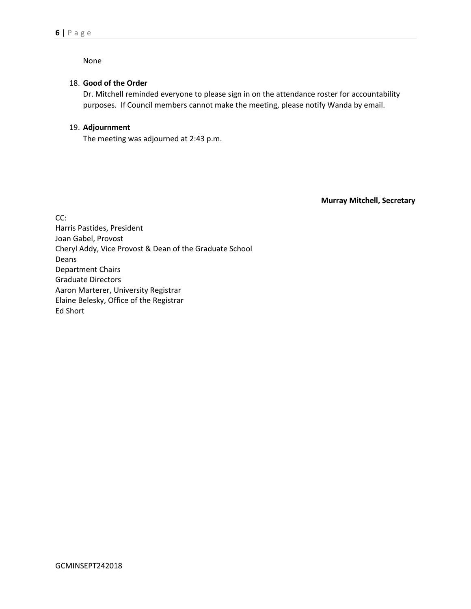None

# 18. **Good of the Order**

Dr. Mitchell reminded everyone to please sign in on the attendance roster for accountability purposes. If Council members cannot make the meeting, please notify Wanda by email.

# 19. **Adjournment**

The meeting was adjourned at 2:43 p.m.

**Murray Mitchell, Secretary**

CC: Harris Pastides, President Joan Gabel, Provost Cheryl Addy, Vice Provost & Dean of the Graduate School Deans Department Chairs Graduate Directors Aaron Marterer, University Registrar Elaine Belesky, Office of the Registrar Ed Short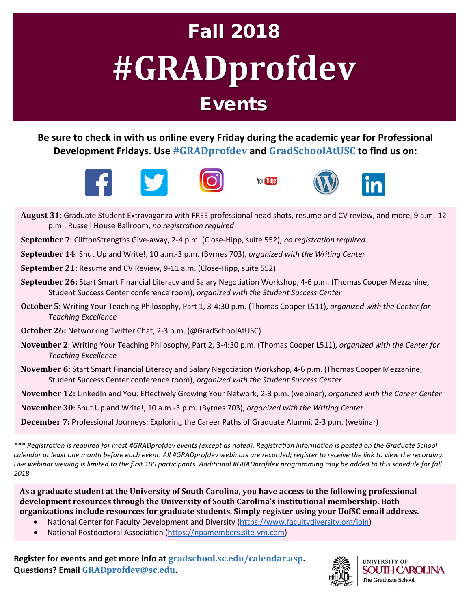# Fall 2018 **#GRADprofdev** Events

**Be sure to check in with us online every Friday during the academic year for Professional Development Fridays. Use #GRADprofdev and GradSchoolAtUSC to find us on:**











- **August 31**: Graduate Student Extravaganza with FREE professional head shots, resume and CV review, and more, 9 a.m.-12 p.m., Russell House Ballroom, *no registration required*
- **September 7**: CliftonStrengths Give-away, 2-4 p.m. (Close-Hipp, suite 552), *no registration required*
- **September 14**: Shut Up and Write!, 10 a.m.-3 p.m. (Byrnes 703), *organized with the Writing Center*
- **September 21:** Resume and CV Review, 9-11 a.m. (Close-Hipp, suite 552)
- **September 26:** Start Smart Financial Literacy and Salary Negotiation Workshop, 4-6 p.m. (Thomas Cooper Mezzanine, Student Success Center conference room), *organized with the Student Success Center*
- **October 5**: Writing Your Teaching Philosophy, Part 1, 3-4:30 p.m. (Thomas Cooper L511), *organized with the Center for Teaching Excellence*
- **October 26:** Networking Twitter Chat, 2-3 p.m. (@GradSchoolAtUSC)
- **November 2**: Writing Your Teaching Philosophy, Part 2, 3-4:30 p.m. (Thomas Cooper L511), *organized with the Center for Teaching Excellence*
- **November 6:** Start Smart Financial Literacy and Salary Negotiation Workshop, 4-6 p.m. (Thomas Cooper Mezzanine, Student Success Center conference room), *organized with the Student Success Center*
- **November 12:** LinkedIn and You: Effectively Growing Your Network, 2-3 p.m. (webinar), *organized with the Career Center*
- **November 30**: Shut Up and Write!, 10 a.m.-3 p.m. (Byrnes 703), *organized with the Writing Center*
- **December 7:** Professional Journeys: Exploring the Career Paths of Graduate Alumni, 2-3 p.m. (webinar)

*\*\*\* Registration is required for most #GRADprofdev events (except as noted). Registration information is posted on the Graduate School calendar at least one month before each event. All #GRADprofdev webinars are recorded; register to receive the link to view the recording. Live webinar viewing is limited to the first 100 participants. Additional #GRADprofdev programming may be added to this schedule for fall 2018.*

**As a graduate student at the University of South Carolina, you have access to the following professional development resources through the University of South Carolina's institutional membership. Both organizations include resources for graduate students. Simply register using your UofSC email address.**

- National Center for Faculty Development and Diversity [\(https://www.facultydiversity.org/join\)](https://www.facultydiversity.org/join)
- National Postdoctoral Association [\(https://npamembers.site-ym.com\)](https://npamembers.site-ym.com/)

**Register for events and get more info at gradschool.sc.edu/calendar.asp. Questions? Email GRADprofdev@sc.edu.**



**UNIVERSITY OF SOUTH CAROLINA** The Graduate School